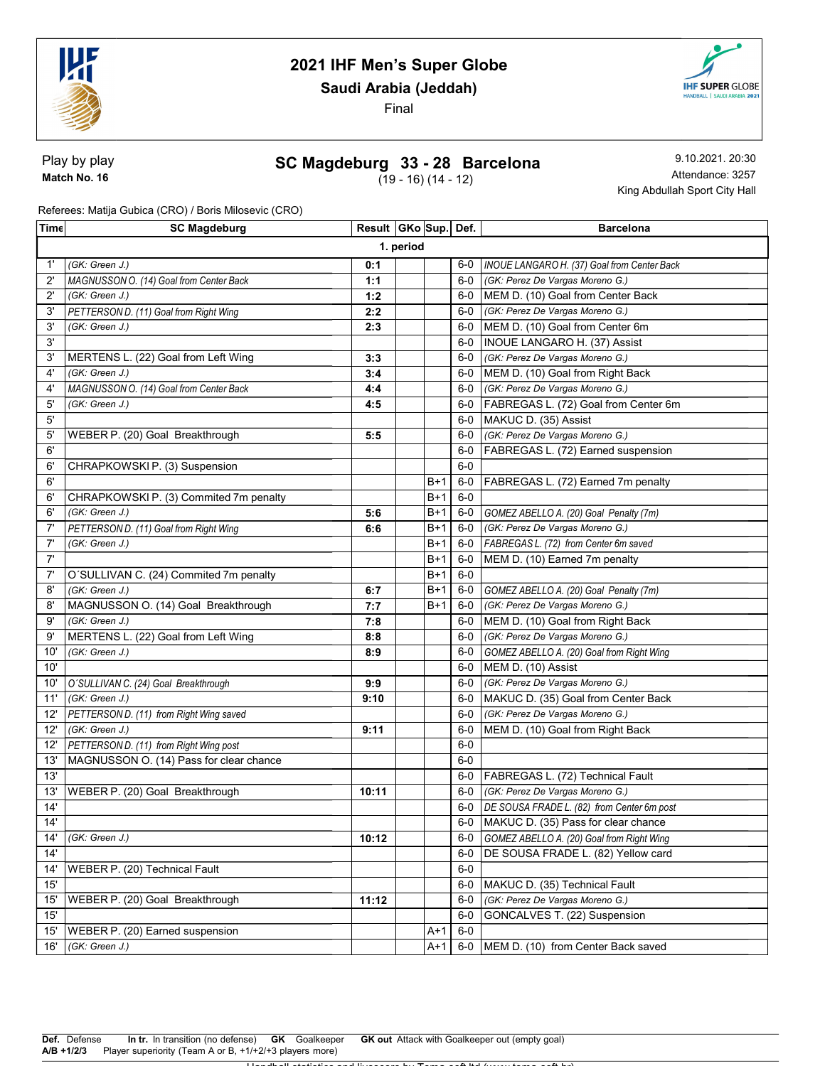

Saudi Arabia (Jeddah)

Final



Play by play Match No. 16

### SC Magdeburg 33 - 28 Barcelona

(19 - 16) (14 - 12)

9.10.2021. 20:30 Attendance: 3257 King Abdullah Sport City Hall

Referees: Matija Gubica (CRO) / Boris Milosevic (CRO)

| Time         | <b>SC Magdeburg</b>                     | Result GKo Sup Def. |  |       |       | <b>Barcelona</b>                                  |  |  |
|--------------|-----------------------------------------|---------------------|--|-------|-------|---------------------------------------------------|--|--|
|              | 1. period                               |                     |  |       |       |                                                   |  |  |
| 1'           | (GK: Green J.)                          | 0:1                 |  |       |       | 6-0   INOUE LANGARO H. (37) Goal from Center Back |  |  |
| $2^{\circ}$  | MAGNUSSON O. (14) Goal from Center Back | 1:1                 |  |       | $6-0$ | (GK: Perez De Vargas Moreno G.)                   |  |  |
| $2^{\prime}$ | (GK: Green J.)                          | 1:2                 |  |       |       | 6-0 MEM D. (10) Goal from Center Back             |  |  |
| 3'           | PETTERSON D. (11) Goal from Right Wing  | 2:2                 |  |       |       | 6-0 (GK: Perez De Vargas Moreno G.)               |  |  |
| 3'           | (GK: Green J.)                          | 2:3                 |  |       |       | 6-0 MEM D. (10) Goal from Center 6m               |  |  |
| 3'           |                                         |                     |  |       | 6-0   | <b>INOUE LANGARO H. (37) Assist</b>               |  |  |
| 3'           | MERTENS L. (22) Goal from Left Wing     | 3:3                 |  |       | $6-0$ | (GK: Perez De Vargas Moreno G.)                   |  |  |
| 4'           | (GK: Green J.)                          | 3:4                 |  |       | $6-0$ | MEM D. (10) Goal from Right Back                  |  |  |
| 4'           | MAGNUSSON O. (14) Goal from Center Back | 4:4                 |  |       |       | 6-0 (GK: Perez De Vargas Moreno G.)               |  |  |
| 5'           | (GK: Green J.)                          | 4:5                 |  |       | 6-0   | FABREGAS L. (72) Goal from Center 6m              |  |  |
| 5'           |                                         |                     |  |       | 6-0   | MAKUC D. (35) Assist                              |  |  |
| $5^{\prime}$ | WEBER P. (20) Goal Breakthrough         | 5:5                 |  |       | 6-0   | (GK: Perez De Vargas Moreno G.)                   |  |  |
| 6'           |                                         |                     |  |       | $6-0$ | FABREGAS L. (72) Earned suspension                |  |  |
| 6'           | CHRAPKOWSKIP. (3) Suspension            |                     |  |       | $6-0$ |                                                   |  |  |
| 6'           |                                         |                     |  | B+1   | 6-0   | FABREGAS L. (72) Earned 7m penalty                |  |  |
| 6'           | CHRAPKOWSKI P. (3) Commited 7m penalty  |                     |  | $B+1$ | $6-0$ |                                                   |  |  |
| 6'           | (GK: Green J.)                          | 5:6                 |  | B+1   | 6-0   | GOMEZ ABELLO A. (20) Goal Penalty (7m)            |  |  |
| 7'           | PETTERSON D. (11) Goal from Right Wing  | 6:6                 |  | B+1   | 6-0   | (GK: Perez De Vargas Moreno G.)                   |  |  |
| 7'           | (GK: Green J.)                          |                     |  | $B+1$ | 6-0   | FABREGAS L. (72) from Center 6m saved             |  |  |
| 7'           |                                         |                     |  | $B+1$ | $6-0$ | MEM D. (10) Earned 7m penalty                     |  |  |
| 7'           | O'SULLIVAN C. (24) Commited 7m penalty  |                     |  | B+1   | $6-0$ |                                                   |  |  |
| 8'           | (GK: Green J.)                          | 6:7                 |  | B+1   | 6-0   | GOMEZ ABELLO A. (20) Goal Penalty (7m)            |  |  |
| 8'           | MAGNUSSON O. (14) Goal Breakthrough     | 7:7                 |  | B+1   | $6-0$ | (GK: Perez De Vargas Moreno G.)                   |  |  |
| 9'           | (GK: Green J.)                          | 7:8                 |  |       | 6-0   | MEM D. (10) Goal from Right Back                  |  |  |
| 9'           | MERTENS L. (22) Goal from Left Wing     | 8:8                 |  |       | 6-0   | (GK: Perez De Vargas Moreno G.)                   |  |  |
| 10'          | (GK: Green J.)                          | 8:9                 |  |       | 6-0   | GOMEZ ABELLO A. (20) Goal from Right Wing         |  |  |
| 10'          |                                         |                     |  |       |       | 6-0 MEM D. (10) Assist                            |  |  |
| 10'          | O'SULLIVAN C. (24) Goal Breakthrough    | 9:9                 |  |       |       | 6-0 (GK: Perez De Vargas Moreno G.)               |  |  |
| 11'          | (GK: Green J.)                          | 9:10                |  |       |       | 6-0 MAKUC D. (35) Goal from Center Back           |  |  |
| 12'          | PETTERSON D. (11) from Right Wing saved |                     |  |       | $6-0$ | (GK: Perez De Vargas Moreno G.)                   |  |  |
| 12'          | (GK: Green J.)                          | 9:11                |  |       | 6-0   | MEM D. (10) Goal from Right Back                  |  |  |
| 12'          | PETTERSON D. (11) from Right Wing post  |                     |  |       | $6-0$ |                                                   |  |  |
| 13'          | MAGNUSSON O. (14) Pass for clear chance |                     |  |       | $6-0$ |                                                   |  |  |
| 13'          |                                         |                     |  |       |       | 6-0   FABREGAS L. (72) Technical Fault            |  |  |
| 13'          | WEBER P. (20) Goal Breakthrough         | 10:11               |  |       | $6-0$ | (GK: Perez De Vargas Moreno G.)                   |  |  |
| 14'          |                                         |                     |  |       |       | 6-0 DE SOUSA FRADE L. (82) from Center 6m post    |  |  |
| 14'          |                                         |                     |  |       |       | 6-0   MAKUC D. (35) Pass for clear chance         |  |  |
| 14'          | (GK: Green J.)                          | 10:12               |  |       | 6-0   | GOMEZ ABELLO A. (20) Goal from Right Wing         |  |  |
| 14'          |                                         |                     |  |       | $6-0$ | DE SOUSA FRADE L. (82) Yellow card                |  |  |
| 14'          | WEBER P. (20) Technical Fault           |                     |  |       | $6-0$ |                                                   |  |  |
| 15'          |                                         |                     |  |       | 6-0   | MAKUC D. (35) Technical Fault                     |  |  |
| 15'          | WEBER P. (20) Goal Breakthrough         | 11:12               |  |       | $6-0$ | (GK: Perez De Vargas Moreno G.)                   |  |  |
| 15'          |                                         |                     |  |       | $6-0$ | GONCALVES T. (22) Suspension                      |  |  |
| 15'          | WEBER P. (20) Earned suspension         |                     |  | $A+1$ | $6-0$ |                                                   |  |  |
| 16'          | (GK: Green J.)                          |                     |  | $A+1$ | $6-0$ | MEM D. (10) from Center Back saved                |  |  |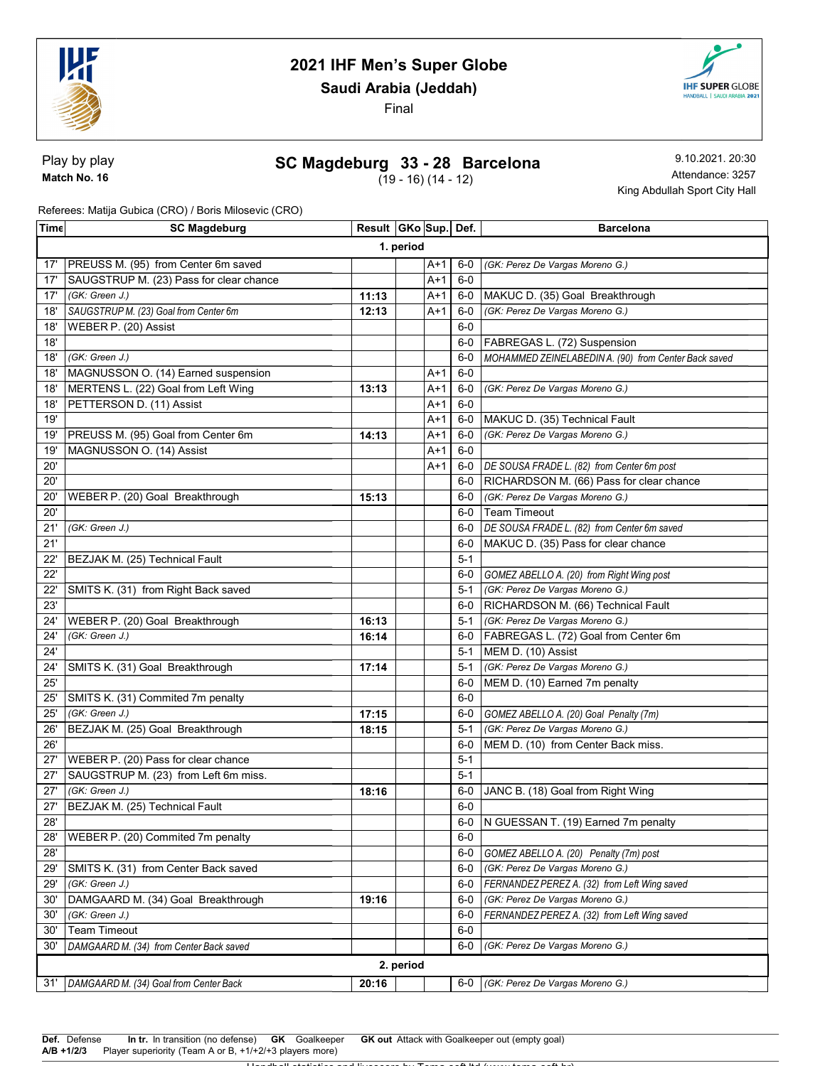

Saudi Arabia (Jeddah)

Final



#### SC Magdeburg 33 - 28 Barcelona

(19 - 16) (14 - 12)

9.10.2021. 20:30 Attendance: 3257 King Abdullah Sport City Hall

**IHF SUPER GLOBE** 

Referees: Matija Gubica (CRO) / Boris Milosevic (CRO)

| Time      | <b>SC Magdeburg</b>                     | Result   GKo   Sup   Def. |  |       |         | <b>Barcelona</b>                                     |  |  |  |
|-----------|-----------------------------------------|---------------------------|--|-------|---------|------------------------------------------------------|--|--|--|
|           | 1. period                               |                           |  |       |         |                                                      |  |  |  |
| 17'       | PREUSS M. (95) from Center 6m saved     |                           |  | A+1   | 6-0     | (GK: Perez De Vargas Moreno G.)                      |  |  |  |
| 17'       | SAUGSTRUP M. (23) Pass for clear chance |                           |  | A+1   | $6-0$   |                                                      |  |  |  |
| 17'       | (GK: Green J.)                          | 11:13                     |  | A+1   | 6-0     | MAKUC D. (35) Goal Breakthrough                      |  |  |  |
| 18'       | SAUGSTRUP M. (23) Goal from Center 6m   | 12:13                     |  | A+1   | $6-0$   | (GK: Perez De Vargas Moreno G.)                      |  |  |  |
| 18'       | WEBER P. (20) Assist                    |                           |  |       | $6-0$   |                                                      |  |  |  |
| 18'       |                                         |                           |  |       | 6-0     | FABREGAS L. (72) Suspension                          |  |  |  |
| 18'       | (GK: Green J.)                          |                           |  |       | $6-0$   | MOHAMMED ZEINELABEDIN A. (90) from Center Back saved |  |  |  |
| 18'       | MAGNUSSON O. (14) Earned suspension     |                           |  | $A+1$ | $6-0$   |                                                      |  |  |  |
| 18'       | MERTENS L. (22) Goal from Left Wing     | 13:13                     |  | A+1   | $6-0$   | (GK: Perez De Vargas Moreno G.)                      |  |  |  |
| 18'       | PETTERSON D. (11) Assist                |                           |  | A+1   | $6-0$   |                                                      |  |  |  |
| 19'       |                                         |                           |  | A+1   | 6-0     | MAKUC D. (35) Technical Fault                        |  |  |  |
| 19'       | PREUSS M. (95) Goal from Center 6m      | 14:13                     |  | A+1   | 6-0     | (GK: Perez De Vargas Moreno G.)                      |  |  |  |
| 19'       | MAGNUSSON O. (14) Assist                |                           |  | A+1   | $6-0$   |                                                      |  |  |  |
| 20'       |                                         |                           |  | A+1   | 6-0     | DE SOUSA FRADE L. (82) from Center 6m post           |  |  |  |
| 20'       |                                         |                           |  |       | 6-0     | RICHARDSON M. (66) Pass for clear chance             |  |  |  |
| 20'       | WEBER P. (20) Goal Breakthrough         | 15:13                     |  |       | $6-0$   | (GK: Perez De Vargas Moreno G.)                      |  |  |  |
| 20'       |                                         |                           |  |       | 6-0     | <b>Team Timeout</b>                                  |  |  |  |
| 21'       | (GK: Green J.)                          |                           |  |       | $6-0$   | DE SOUSA FRADE L. (82) from Center 6m saved          |  |  |  |
| 21'       |                                         |                           |  |       | 6-0     | MAKUC D. (35) Pass for clear chance                  |  |  |  |
| 22'       | BEZJAK M. (25) Technical Fault          |                           |  |       | $5 - 1$ |                                                      |  |  |  |
| 22'       |                                         |                           |  |       | $6-0$   | GOMEZ ABELLO A. (20) from Right Wing post            |  |  |  |
| 22'       | SMITS K. (31) from Right Back saved     |                           |  |       | $5-1$   | (GK: Perez De Vargas Moreno G.)                      |  |  |  |
| 23'       |                                         |                           |  |       | 6-0     | RICHARDSON M. (66) Technical Fault                   |  |  |  |
| 24'       | WEBER P. (20) Goal Breakthrough         | 16:13                     |  |       | $5-1$   | (GK: Perez De Vargas Moreno G.)                      |  |  |  |
| 24'       | (GK: Green J.)                          | 16:14                     |  |       |         | 6-0   FABREGAS L. (72) Goal from Center 6m           |  |  |  |
| 24'       |                                         |                           |  |       | $5 - 1$ | MEM D. (10) Assist                                   |  |  |  |
| 24'       | SMITS K. (31) Goal Breakthrough         | 17:14                     |  |       | $5 - 1$ | (GK: Perez De Vargas Moreno G.)                      |  |  |  |
| 25'       |                                         |                           |  |       | $6-0$   | MEM D. (10) Earned 7m penalty                        |  |  |  |
| 25'       | SMITS K. (31) Commited 7m penalty       |                           |  |       | $6-0$   |                                                      |  |  |  |
| 25'       | (GK: Green J.)                          | 17:15                     |  |       | $6-0$   | GOMEZ ABELLO A. (20) Goal Penalty (7m)               |  |  |  |
| 26'       | BEZJAK M. (25) Goal Breakthrough        | 18:15                     |  |       | $5-1$   | (GK: Perez De Vargas Moreno G.)                      |  |  |  |
| 26'       |                                         |                           |  |       | 6-0     | MEM D. (10) from Center Back miss.                   |  |  |  |
| 27'       | WEBER P. (20) Pass for clear chance     |                           |  |       | $5 - 1$ |                                                      |  |  |  |
| 27'       | SAUGSTRUP M. (23) from Left 6m miss.    |                           |  |       | $5 - 1$ |                                                      |  |  |  |
| 27'       | (GK: Green J.)                          | 18:16                     |  |       | 6-0     | JANC B. (18) Goal from Right Wing                    |  |  |  |
| 27'       | BEZJAK M. (25) Technical Fault          |                           |  |       | $6-0$   |                                                      |  |  |  |
| 28'       |                                         |                           |  |       |         | 6-0 N GUESSAN T. (19) Earned 7m penalty              |  |  |  |
| 28        | WEBER P. (20) Commited 7m penalty       |                           |  |       | $6-0$   |                                                      |  |  |  |
| 28'       |                                         |                           |  |       | $6-0$   | GOMEZ ABELLO A. (20) Penalty (7m) post               |  |  |  |
| 29'       | SMITS K. (31) from Center Back saved    |                           |  |       | $6-0$   | (GK: Perez De Vargas Moreno G.)                      |  |  |  |
| 29'       | (GK: Green J.)                          |                           |  |       | 6-0     | FERNANDEZ PEREZ A. (32) from Left Wing saved         |  |  |  |
| 30'       | DAMGAARD M. (34) Goal Breakthrough      | 19:16                     |  |       | 6-0     | (GK: Perez De Vargas Moreno G.)                      |  |  |  |
| 30'       | (GK: Green J.)                          |                           |  |       | $6-0$   | FERNANDEZ PEREZ A. (32) from Left Wing saved         |  |  |  |
| 30'       | <b>Team Timeout</b>                     |                           |  |       | $6-0$   |                                                      |  |  |  |
| 30'       | DAMGAARD M. (34) from Center Back saved |                           |  |       | $6-0$   | (GK: Perez De Vargas Moreno G.)                      |  |  |  |
| 2. period |                                         |                           |  |       |         |                                                      |  |  |  |
| 31'       | DAMGAARD M. (34) Goal from Center Back  | 20:16                     |  |       | 6-0     | (GK: Perez De Vargas Moreno G.)                      |  |  |  |
|           |                                         |                           |  |       |         |                                                      |  |  |  |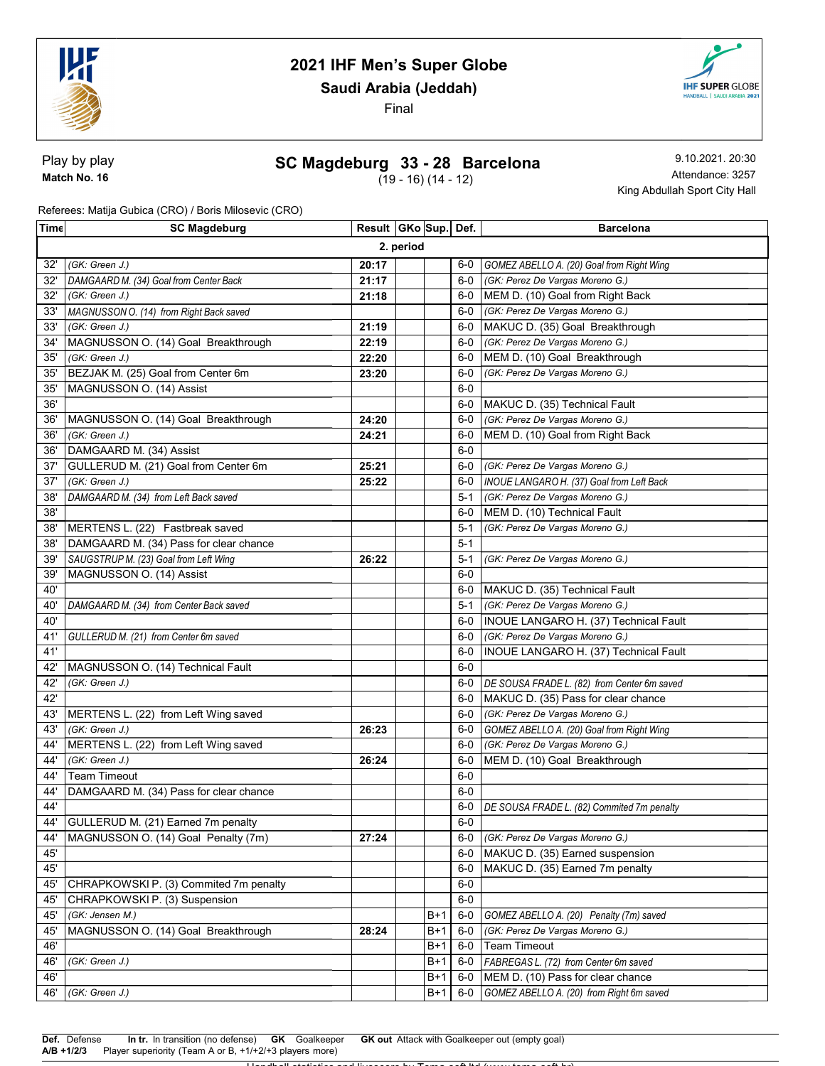

Saudi Arabia (Jeddah)

Final



#### SC Magdeburg 33 - 28 Barcelona

(19 - 16) (14 - 12)

9.10.2021. 20:30 Attendance: 3257 King Abdullah Sport City Hall

**IHF SUPER GLOBE** 

Referees: Matija Gubica (CRO) / Boris Milosevic (CRO)

| Time       | <b>SC Magdeburg</b>                     | Result   GKo   Sup   Def. |  |       |              | <b>Barcelona</b>                                                   |  |  |  |
|------------|-----------------------------------------|---------------------------|--|-------|--------------|--------------------------------------------------------------------|--|--|--|
|            | 2. period                               |                           |  |       |              |                                                                    |  |  |  |
| 32'        | (GK: Green J.)                          | 20:17                     |  |       | $6-0$        | GOMEZ ABELLO A. (20) Goal from Right Wing                          |  |  |  |
| 32'        | DAMGAARD M. (34) Goal from Center Back  | 21:17                     |  |       | $6-0$        | (GK: Perez De Vargas Moreno G.)                                    |  |  |  |
| 32'        | (GK: Green J.)                          | 21:18                     |  |       | $6-0$        | MEM D. (10) Goal from Right Back                                   |  |  |  |
| 33'        | MAGNUSSON O. (14) from Right Back saved |                           |  |       | $6-0$        | (GK: Perez De Vargas Moreno G.)                                    |  |  |  |
| 33'        | (GK: Green J.)                          | 21:19                     |  |       | $6-0$        | MAKUC D. (35) Goal Breakthrough                                    |  |  |  |
| 34'        | MAGNUSSON O. (14) Goal Breakthrough     | 22:19                     |  |       | 6-0          | (GK: Perez De Vargas Moreno G.)                                    |  |  |  |
| 35'        | (GK: Green J.)                          | 22:20                     |  |       | 6-0          | MEM D. (10) Goal Breakthrough                                      |  |  |  |
| 35'        | BEZJAK M. (25) Goal from Center 6m      | 23:20                     |  |       | 6-0          | (GK: Perez De Vargas Moreno G.)                                    |  |  |  |
| 35         | MAGNUSSON O. (14) Assist                |                           |  |       | $6-0$        |                                                                    |  |  |  |
| 36'        |                                         |                           |  |       | 6-0          | MAKUC D. (35) Technical Fault                                      |  |  |  |
| 36'        | MAGNUSSON O. (14) Goal Breakthrough     | 24:20                     |  |       | 6-0          | (GK: Perez De Vargas Moreno G.)                                    |  |  |  |
| 36'        | (GK: Green J.)                          | 24:21                     |  |       | 6-0          | MEM D. (10) Goal from Right Back                                   |  |  |  |
| 36'        | DAMGAARD M. (34) Assist                 |                           |  |       | $6-0$        |                                                                    |  |  |  |
| 37'        | GULLERUD M. (21) Goal from Center 6m    | 25:21                     |  |       | $6-0$        | (GK: Perez De Vargas Moreno G.)                                    |  |  |  |
| 37'        | (GK: Green J.)                          | 25:22                     |  |       | $6-0$        | INOUE LANGARO H. (37) Goal from Left Back                          |  |  |  |
| 38'        | DAMGAARD M. (34) from Left Back saved   |                           |  |       | 5-1          | (GK: Perez De Vargas Moreno G.)                                    |  |  |  |
| 38'        |                                         |                           |  |       | $6-0$        | MEM D. (10) Technical Fault                                        |  |  |  |
| 38'        | MERTENS L. (22) Fastbreak saved         |                           |  |       | 5-1          | (GK: Perez De Vargas Moreno G.)                                    |  |  |  |
| 38'        | DAMGAARD M. (34) Pass for clear chance  |                           |  |       | $5 - 1$      |                                                                    |  |  |  |
| 39'        | SAUGSTRUP M. (23) Goal from Left Wing   | 26:22                     |  |       | 5-1          | (GK: Perez De Vargas Moreno G.)                                    |  |  |  |
| 39'        | MAGNUSSON O. (14) Assist                |                           |  |       | 6-0          |                                                                    |  |  |  |
| 40'        |                                         |                           |  |       | 6-0          | MAKUC D. (35) Technical Fault                                      |  |  |  |
| 40'        | DAMGAARD M. (34) from Center Back saved |                           |  |       | 5-1          | (GK: Perez De Vargas Moreno G.)                                    |  |  |  |
| 40'        |                                         |                           |  |       | 6-0          | INOUE LANGARO H. (37) Technical Fault                              |  |  |  |
| 41'        | GULLERUD M. (21) from Center 6m saved   |                           |  |       | 6-0          | (GK: Perez De Vargas Moreno G.)                                    |  |  |  |
| 41'        |                                         |                           |  |       | $6-0$        | INOUE LANGARO H. (37) Technical Fault                              |  |  |  |
| 42'        | MAGNUSSON O. (14) Technical Fault       |                           |  |       | $6-0$        |                                                                    |  |  |  |
| 42'        | (GK: Green J.)                          |                           |  |       | $6-0$        | DE SOUSA FRADE L. (82) from Center 6m saved                        |  |  |  |
| 42'        |                                         |                           |  |       | $6-0$        | MAKUC D. (35) Pass for clear chance                                |  |  |  |
| 43'        | MERTENS L. (22) from Left Wing saved    |                           |  |       | 6-0          | (GK: Perez De Vargas Moreno G.)                                    |  |  |  |
| 43'        | (GK: Green J.)                          | 26:23                     |  |       | 6-0          | GOMEZ ABELLO A. (20) Goal from Right Wing                          |  |  |  |
| 44'        | MERTENS L. (22) from Left Wing saved    |                           |  |       | $6-0$        | (GK: Perez De Vargas Moreno G.)                                    |  |  |  |
| 44'        | (GK: Green J.)                          | 26:24                     |  |       | 6-0          | MEM D. (10) Goal Breakthrough                                      |  |  |  |
| 44'        | <b>Team Timeout</b>                     |                           |  |       | $6-0$        |                                                                    |  |  |  |
| 44'        | DAMGAARD M. (34) Pass for clear chance  |                           |  |       | 6-0          |                                                                    |  |  |  |
| 44'        |                                         |                           |  |       | 6-0          | DE SOUSA FRADE L. (82) Commited 7m penalty                         |  |  |  |
| 44'        | GULLERUD M. (21) Earned 7m penalty      |                           |  |       | $6-0$        |                                                                    |  |  |  |
| 44'<br>45' | MAGNUSSON O. (14) Goal Penalty (7m)     | 27:24                     |  |       | 6-0          | (GK: Perez De Vargas Moreno G.)<br>MAKUC D. (35) Earned suspension |  |  |  |
| 45'        |                                         |                           |  |       | 6-0<br>$6-0$ | MAKUC D. (35) Earned 7m penalty                                    |  |  |  |
| 45         | CHRAPKOWSKI P. (3) Commited 7m penalty  |                           |  |       | $6-0$        |                                                                    |  |  |  |
| 45'        | CHRAPKOWSKI P. (3) Suspension           |                           |  |       | $6-0$        |                                                                    |  |  |  |
| 45'        | (GK: Jensen M.)                         |                           |  | $B+1$ | $6-0$        | GOMEZ ABELLO A. (20) Penalty (7m) saved                            |  |  |  |
| 45'        | MAGNUSSON O. (14) Goal Breakthrough     | 28:24                     |  | $B+1$ | $6-0$        | (GK: Perez De Vargas Moreno G.)                                    |  |  |  |
| 46'        |                                         |                           |  | B+1   | $6-0$        | <b>Team Timeout</b>                                                |  |  |  |
| 46'        | (GK: Green J.)                          |                           |  | $B+1$ | 6-0          | FABREGAS L. (72) from Center 6m saved                              |  |  |  |
| 46'        |                                         |                           |  | $B+1$ | 6-0          | MEM D. (10) Pass for clear chance                                  |  |  |  |
| 46'        | (GK: Green J.)                          |                           |  | $B+1$ | $6-0$        | GOMEZ ABELLO A. (20) from Right 6m saved                           |  |  |  |
|            |                                         |                           |  |       |              |                                                                    |  |  |  |